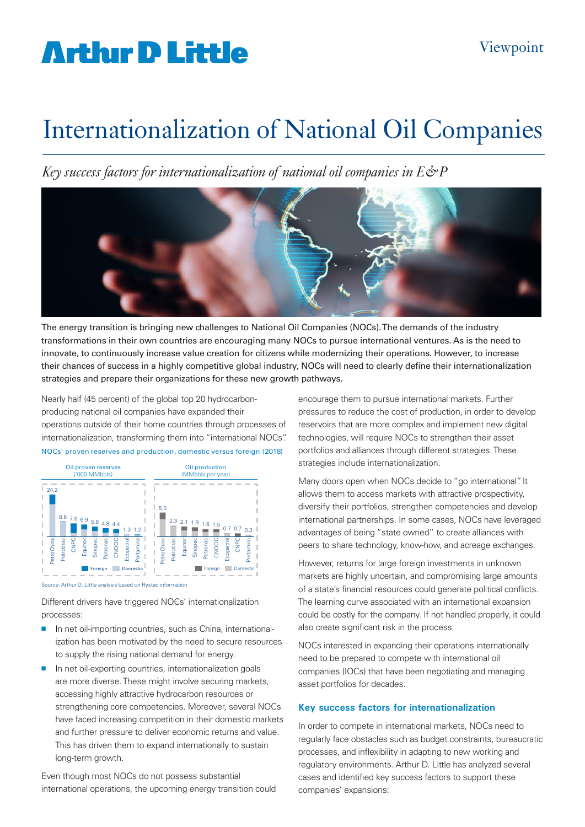# **Arthur D Little**

### Internationalization of National Oil Companies

*Key success factors for internationalization of national oil companies in E&P*



The energy transition is bringing new challenges to National Oil Companies (NOCs). The demands of the industry transformations in their own countries are encouraging many NOCs to pursue international ventures. As is the need to innovate, to continuously increase value creation for citizens while modernizing their operations. However, to increase their chances of success in a highly competitive global industry, NOCs will need to clearly define their internationalization strategies and prepare their organizations for these new growth pathways.

Nearly half (45 percent) of the global top 20 hydrocarbonproducing national oil companies have expanded their operations outside of their home countries through processes of internationalization, transforming them into "international NOCs". NOCs' proven reserves and production, domestic versus foreign (2018)



Source: Arthur D. Little analysis based on Rystad information

Different drivers have triggered NOCs' internationalization processes:

- n net oil-importing countries, such as China, internationalization has been motivated by the need to secure resources to supply the rising national demand for energy.
- $\blacksquare$  In net oil-exporting countries, internationalization goals are more diverse. These might involve securing markets, accessing highly attractive hydrocarbon resources or strengthening core competencies. Moreover, several NOCs have faced increasing competition in their domestic markets and further pressure to deliver economic returns and value. This has driven them to expand internationally to sustain long-term growth.

Even though most NOCs do not possess substantial international operations, the upcoming energy transition could encourage them to pursue international markets. Further pressures to reduce the cost of production, in order to develop reservoirs that are more complex and implement new digital technologies, will require NOCs to strengthen their asset portfolios and alliances through different strategies. These strategies include internationalization.

Many doors open when NOCs decide to "go international". It allows them to access markets with attractive prospectivity, diversify their portfolios, strengthen competencies and develop international partnerships. In some cases, NOCs have leveraged advantages of being "state owned" to create alliances with peers to share technology, know-how, and acreage exchanges.

However, returns for large foreign investments in unknown markets are highly uncertain, and compromising large amounts of a state's financial resources could generate political conflicts. The learning curve associated with an international expansion could be costly for the company. If not handled properly, it could also create significant risk in the process.

NOCs interested in expanding their operations internationally need to be prepared to compete with international oil companies (IOCs) that have been negotiating and managing asset portfolios for decades.

#### **Key success factors for internationalization**

In order to compete in international markets, NOCs need to regularly face obstacles such as budget constraints, bureaucratic processes, and inflexibility in adapting to new working and 1 regulatory environments. Arthur D. Little has analyzed several cases and identified key success factors to support these companies' expansions: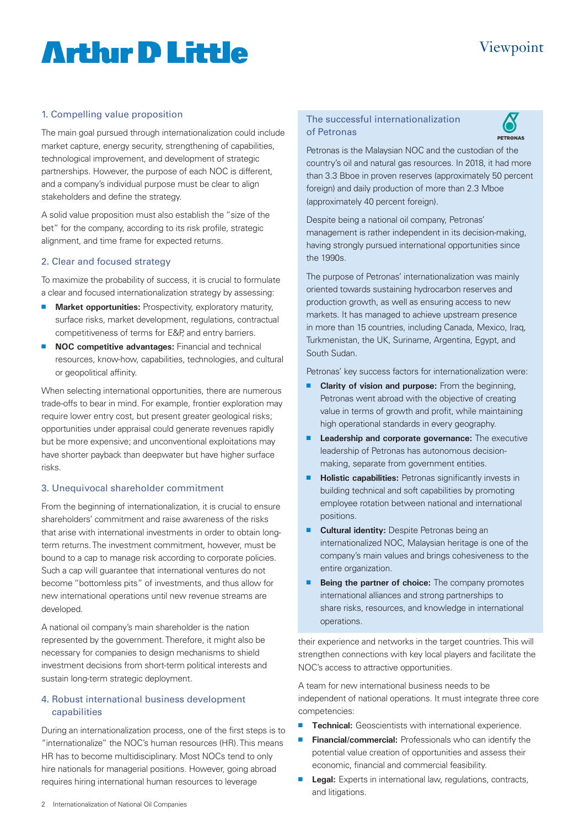# **Artlur D Little**

### Viewpoint

#### 1. Compelling value proposition

The main goal pursued through internationalization could include market capture, energy security, strengthening of capabilities, technological improvement, and development of strategic partnerships. However, the purpose of each NOC is different, and a company's individual purpose must be clear to align stakeholders and define the strategy.

A solid value proposition must also establish the "size of the bet" for the company, according to its risk profile, strategic alignment, and time frame for expected returns.

#### 2. Clear and focused strategy

To maximize the probability of success, it is crucial to formulate a clear and focused internationalization strategy by assessing:

- **n** Market opportunities: Prospectivity, exploratory maturity, surface risks, market development, regulations, contractual competitiveness of terms for E&P, and entry barriers.
- **n NOC competitive advantages:** Financial and technical resources, know-how, capabilities, technologies, and cultural or geopolitical affinity.

When selecting international opportunities, there are numerous trade-offs to bear in mind. For example, frontier exploration may require lower entry cost, but present greater geological risks; opportunities under appraisal could generate revenues rapidly but be more expensive; and unconventional exploitations may have shorter payback than deepwater but have higher surface risks.

#### 3. Unequivocal shareholder commitment

From the beginning of internationalization, it is crucial to ensure shareholders' commitment and raise awareness of the risks that arise with international investments in order to obtain longterm returns. The investment commitment, however, must be bound to a cap to manage risk according to corporate policies. Such a cap will guarantee that international ventures do not become "bottomless pits" of investments, and thus allow for new international operations until new revenue streams are developed.

A national oil company's main shareholder is the nation represented by the government. Therefore, it might also be necessary for companies to design mechanisms to shield investment decisions from short-term political interests and sustain long-term strategic deployment.

#### 4. Robust international business development capabilities

During an internationalization process, one of the first steps is to "internationalize" the NOC's human resources (HR). This means HR has to become multidisciplinary. Most NOCs tend to only hire nationals for managerial positions. However, going abroad requires hiring international human resources to leverage

#### The successful internationalization of Petronas



Petronas is the Malaysian NOC and the custodian of the country's oil and natural gas resources. In 2018, it had more than 3.3 Bboe in proven reserves (approximately 50 percent foreign) and daily production of more than 2.3 Mboe (approximately 40 percent foreign).

Despite being a national oil company, Petronas' management is rather independent in its decision-making, having strongly pursued international opportunities since the 1990s.

The purpose of Petronas' internationalization was mainly oriented towards sustaining hydrocarbon reserves and production growth, as well as ensuring access to new markets. It has managed to achieve upstream presence in more than 15 countries, including Canada, Mexico, Iraq, Turkmenistan, the UK, Suriname, Argentina, Egypt, and South Sudan.

Petronas' key success factors for internationalization were:

- **n Clarity of vision and purpose:** From the beginning, Petronas went abroad with the objective of creating value in terms of growth and profit, while maintaining high operational standards in every geography.
- **E** Leadership and corporate governance: The executive leadership of Petronas has autonomous decisionmaking, separate from government entities.
- **Holistic capabilities:** Petronas significantly invests in building technical and soft capabilities by promoting employee rotation between national and international positions.
- **E** Cultural identity: Despite Petronas being an internationalized NOC, Malaysian heritage is one of the company's main values and brings cohesiveness to the entire organization.
- **E** Being the partner of choice: The company promotes international alliances and strong partnerships to share risks, resources, and knowledge in international operations.

their experience and networks in the target countries. This will strengthen connections with key local players and facilitate the NOC's access to attractive opportunities.

A team for new international business needs to be independent of national operations. It must integrate three core competencies:

- **Technical:** Geoscientists with international experience.
- **Financial/commercial:** Professionals who can identify the potential value creation of opportunities and assess their economic, financial and commercial feasibility.
- **Legal:** Experts in international law, regulations, contracts, and litigations.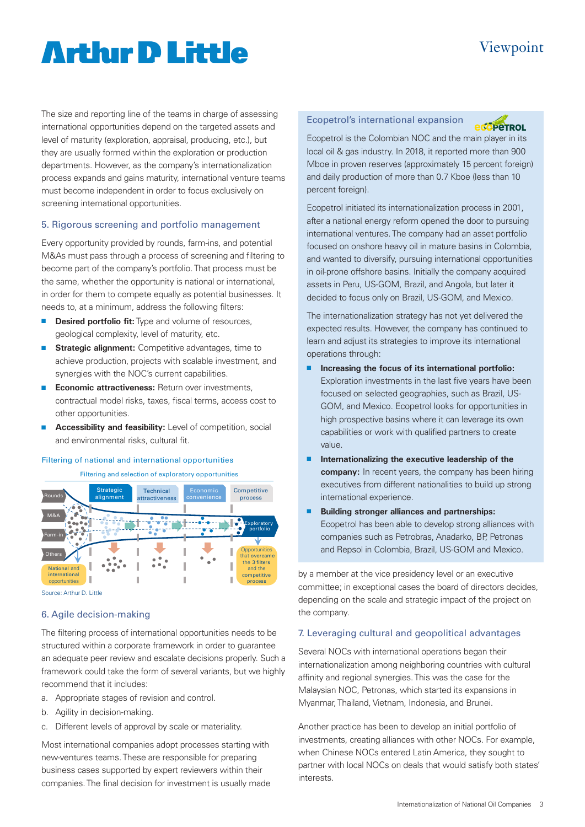# **Arthur D Little**

The size and reporting line of the teams in charge of assessing international opportunities depend on the targeted assets and level of maturity (exploration, appraisal, producing, etc.), but they are usually formed within the exploration or production departments. However, as the company's internationalization process expands and gains maturity, international venture teams must become independent in order to focus exclusively on screening international opportunities.

#### 5. Rigorous screening and portfolio management

Every opportunity provided by rounds, farm-ins, and potential M&As must pass through a process of screening and filtering to become part of the company's portfolio. That process must be the same, whether the opportunity is national or international, in order for them to compete equally as potential businesses. It needs to, at a minimum, address the following filters:

- **n Desired portfolio fit:** Type and volume of resources, geological complexity, level of maturity, etc.
- **F** Strategic alignment: Competitive advantages, time to achieve production, projects with scalable investment, and synergies with the NOC's current capabilities.
- **Economic attractiveness:** Return over investments, contractual model risks, taxes, fiscal terms, access cost to other opportunities.
- **Accessibility and feasibility:** Level of competition, social and environmental risks, cultural fit.

#### Filtering of national and international opportunities

Filtering and selection of exploratory opportunities



Source: Arthur D. Little

#### 6. Agile decision-making

The filtering process of international opportunities needs to be structured within a corporate framework in order to guarantee an adequate peer review and escalate decisions properly. Such a framework could take the form of several variants, but we highly recommend that it includes:

- a. Appropriate stages of revision and control.
- b. Agility in decision-making.
- c. Different levels of approval by scale or materiality.

Most international companies adopt processes starting with new-ventures teams. These are responsible for preparing business cases supported by expert reviewers within their companies. The final decision for investment is usually made

#### Ecopetrol's international expansion



Viewpoint

Ecopetrol is the Colombian NOC and the main player in its local oil & gas industry. In 2018, it reported more than 900 Mboe in proven reserves (approximately 15 percent foreign) and daily production of more than 0.7 Kboe (less than 10 percent foreign).

Ecopetrol initiated its internationalization process in 2001, after a national energy reform opened the door to pursuing international ventures. The company had an asset portfolio focused on onshore heavy oil in mature basins in Colombia, and wanted to diversify, pursuing international opportunities in oil-prone offshore basins. Initially the company acquired assets in Peru, US-GOM, Brazil, and Angola, but later it decided to focus only on Brazil, US-GOM, and Mexico.

The internationalization strategy has not yet delivered the expected results. However, the company has continued to learn and adjust its strategies to improve its international operations through:

- Increasing the focus of its international portfolio: Exploration investments in the last five years have been focused on selected geographies, such as Brazil, US-GOM, and Mexico. Ecopetrol looks for opportunities in high prospective basins where it can leverage its own capabilities or work with qualified partners to create value.
- **n** Internationalizing the executive leadership of the **company:** In recent years, the company has been hiring executives from different nationalities to build up strong international experience.
- **Building stronger alliances and partnerships:** Ecopetrol has been able to develop strong alliances with companies such as Petrobras, Anadarko, BP, Petronas and Repsol in Colombia, Brazil, US-GOM and Mexico.

by a member at the vice presidency level or an executive committee; in exceptional cases the board of directors decides, depending on the scale and strategic impact of the project on the company.

#### 7. Leveraging cultural and geopolitical advantages

Several NOCs with international operations began their internationalization among neighboring countries with cultural affinity and regional synergies. This was the case for the Malaysian NOC, Petronas, which started its expansions in Myanmar, Thailand, Vietnam, Indonesia, and Brunei.

Another practice has been to develop an initial portfolio of investments, creating alliances with other NOCs. For example, when Chinese NOCs entered Latin America, they sought to partner with local NOCs on deals that would satisfy both states' interests.